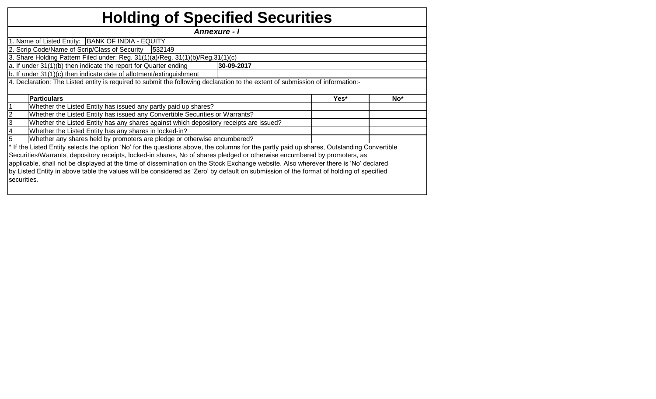|  | <b>Holding of Specified Securities</b> |  |
|--|----------------------------------------|--|
|--|----------------------------------------|--|

*Annexure - I* 

|                                                                                | 1. Name of Listed Entity:   BANK OF INDIA - EQUITY                                                                                         |  |  |  |  |  |  |  |  |  |  |  |  |
|--------------------------------------------------------------------------------|--------------------------------------------------------------------------------------------------------------------------------------------|--|--|--|--|--|--|--|--|--|--|--|--|
|                                                                                | 2. Scrip Code/Name of Scrip/Class of Security   532149                                                                                     |  |  |  |  |  |  |  |  |  |  |  |  |
|                                                                                | 3. Share Holding Pattern Filed under: Reg. 31(1)(a)/Reg. 31(1)(b)/Reg. 31(1)(c)                                                            |  |  |  |  |  |  |  |  |  |  |  |  |
| a. If under 31(1)(b) then indicate the report for Quarter ending<br>30-09-2017 |                                                                                                                                            |  |  |  |  |  |  |  |  |  |  |  |  |
|                                                                                | b. If under 31(1)(c) then indicate date of allotment/extinguishment                                                                        |  |  |  |  |  |  |  |  |  |  |  |  |
|                                                                                | 4. Declaration: The Listed entity is required to submit the following declaration to the extent of submission of information:-             |  |  |  |  |  |  |  |  |  |  |  |  |
|                                                                                |                                                                                                                                            |  |  |  |  |  |  |  |  |  |  |  |  |
|                                                                                | <b>Particulars</b><br>Yes*<br>No <sup>*</sup>                                                                                              |  |  |  |  |  |  |  |  |  |  |  |  |
|                                                                                |                                                                                                                                            |  |  |  |  |  |  |  |  |  |  |  |  |
|                                                                                | Whether the Listed Entity has issued any partly paid up shares?                                                                            |  |  |  |  |  |  |  |  |  |  |  |  |
| $\overline{2}$                                                                 | Whether the Listed Entity has issued any Convertible Securities or Warrants?                                                               |  |  |  |  |  |  |  |  |  |  |  |  |
| 3                                                                              | Whether the Listed Entity has any shares against which depository receipts are issued?                                                     |  |  |  |  |  |  |  |  |  |  |  |  |
| 4                                                                              | Whether the Listed Entity has any shares in locked-in?                                                                                     |  |  |  |  |  |  |  |  |  |  |  |  |
| 5                                                                              | Whether any shares held by promoters are pledge or otherwise encumbered?                                                                   |  |  |  |  |  |  |  |  |  |  |  |  |
|                                                                                | * If the Listed Entity selects the option 'No' for the questions above, the columns for the partly paid up shares, Outstanding Convertible |  |  |  |  |  |  |  |  |  |  |  |  |
|                                                                                | Securities/Warrants, depository receipts, locked-in shares, No of shares pledged or otherwise encumbered by promoters, as                  |  |  |  |  |  |  |  |  |  |  |  |  |

applicable, shall not be displayed at the time of dissemination on the Stock Exchange website. Also wherever there is 'No' declared by Listed Entity in above table the values will be considered as 'Zero' by default on submission of the format of holding of specified securities.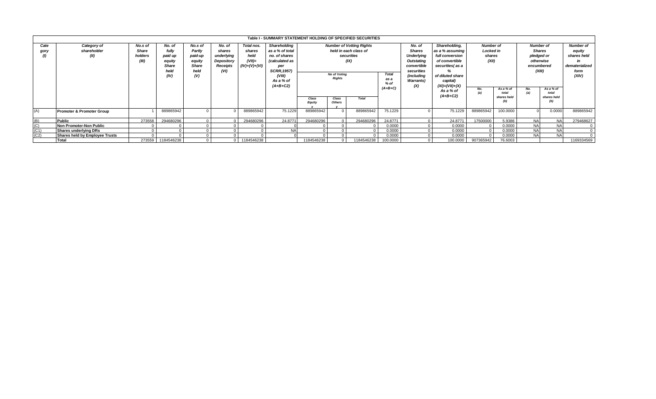|              |                                       |                                      |                                                               |                                                                |                                                                                |                                                              | Table I - SUMMARY STATEMENT HOLDING OF SPECIFIED SECURITIES                                                                          |                                                                                                                 |  |            |                         |                         |            |                                                                                                                                   |                                                                                                                                                  |                                                  |           |                                                                                      |  |                                                                                   |
|--------------|---------------------------------------|--------------------------------------|---------------------------------------------------------------|----------------------------------------------------------------|--------------------------------------------------------------------------------|--------------------------------------------------------------|--------------------------------------------------------------------------------------------------------------------------------------|-----------------------------------------------------------------------------------------------------------------|--|------------|-------------------------|-------------------------|------------|-----------------------------------------------------------------------------------------------------------------------------------|--------------------------------------------------------------------------------------------------------------------------------------------------|--------------------------------------------------|-----------|--------------------------------------------------------------------------------------|--|-----------------------------------------------------------------------------------|
| Cate<br>gory | Category of<br>shareholder<br>(II)    | No.s of<br>Share<br>holders<br>(III) | No. of<br>fully<br>paid up<br>equity<br>Share<br>held<br>(IV) | No.s of<br>Partly<br>paid-up<br>equity<br>Share<br>held<br>(V) | No. of<br>shares<br>underlying<br><b>Depository</b><br><b>Receipts</b><br>(VI) | Total nos.<br>shares<br>held<br>$(VII)$ =<br>$(IV)+(V)+(VI)$ | Shareholding<br>as a % of total<br>no. of shares<br>(calculated as<br>per<br><b>SCRR, 1957)</b><br>(VIII)<br>As a % of<br>$(A+B+C2)$ | <b>Number of Votting Rights</b><br>held in each class of<br>securities<br>(IX)<br>No of Voting<br><b>Rights</b> |  |            | Total<br>as a<br>$%$ of |                         |            | No. of<br><b>Shares</b><br><b>Underlying</b><br>Outstating<br>convertible<br>securities<br>(including<br><b>Warrants</b> )<br>(X) | Shareholding.<br>as a % assuming<br>full conversion<br>of convertible<br>securities(as a<br>of diluted share<br>capital)<br>$(XI) = (VII) + (X)$ | <b>Number of</b><br>Locked in<br>shares<br>(XII) |           | <b>Number of</b><br><b>Shares</b><br>pledged or<br>otherwise<br>encumbered<br>(XIII) |  | <b>Number of</b><br>equity<br>shares held<br>m<br>dematerialized<br>form<br>(XIV) |
|              |                                       |                                      |                                                               |                                                                |                                                                                |                                                              |                                                                                                                                      | <b>Total</b><br>Class<br>Class<br><b>Equity</b><br><b>Others</b>                                                |  | $(A+B+C)$  |                         | As a % of<br>$(A+B+C2)$ | No.<br>(a) | As a % of<br>total<br>shares held                                                                                                 | No.<br>(a)                                                                                                                                       | As a % of<br>total<br>shares held<br>(b)         |           |                                                                                      |  |                                                                                   |
| (A)          | Promoter & Promoter Group             |                                      | 889865942                                                     |                                                                |                                                                                | 889865942                                                    | 75.1229                                                                                                                              | 889865942                                                                                                       |  | 889865942  | 75.1229                 |                         | 75.1229    | 889865942                                                                                                                         | 100.0000                                                                                                                                         |                                                  | 0.0000    | 889865942                                                                            |  |                                                                                   |
| (B)          | <b>Public</b>                         | 273558                               | 294680296                                                     |                                                                |                                                                                | 294680296                                                    | 24.8771                                                                                                                              | 294680296                                                                                                       |  | 294680296  | 24.8771                 |                         | 24.8771    | 17500000                                                                                                                          | 5.9386                                                                                                                                           | <b>NA</b>                                        | <b>NA</b> | 279468627                                                                            |  |                                                                                   |
| (C)          | Non Promoter-Non Public               |                                      |                                                               |                                                                |                                                                                |                                                              |                                                                                                                                      |                                                                                                                 |  |            | 0.0000                  |                         | 0.0000     |                                                                                                                                   | 0.0000                                                                                                                                           | <b>NA</b>                                        | <b>NA</b> | $\Omega$                                                                             |  |                                                                                   |
| (C1)         | Shares underlying DRs                 |                                      |                                                               |                                                                |                                                                                |                                                              | <b>NA</b>                                                                                                                            |                                                                                                                 |  |            | 0.0000                  |                         | 0.0000     |                                                                                                                                   | 0.0000                                                                                                                                           | <b>NA</b>                                        | <b>NA</b> | $\Omega$                                                                             |  |                                                                                   |
| (C2)         | <b>Shares held by Emplovee Trusts</b> |                                      |                                                               |                                                                |                                                                                |                                                              |                                                                                                                                      |                                                                                                                 |  |            | 0.0000                  |                         | 0.0000     |                                                                                                                                   | 0.0000                                                                                                                                           | <b>NA</b>                                        | <b>NA</b> | $\Omega$                                                                             |  |                                                                                   |
|              | Total                                 |                                      | 273559 1184546238                                             |                                                                |                                                                                | 1184546238                                                   |                                                                                                                                      | 1184546238                                                                                                      |  | 1184546238 | 100.0000                |                         | 100.0000   | 907365942                                                                                                                         | 76.6003                                                                                                                                          |                                                  |           | 1169334569                                                                           |  |                                                                                   |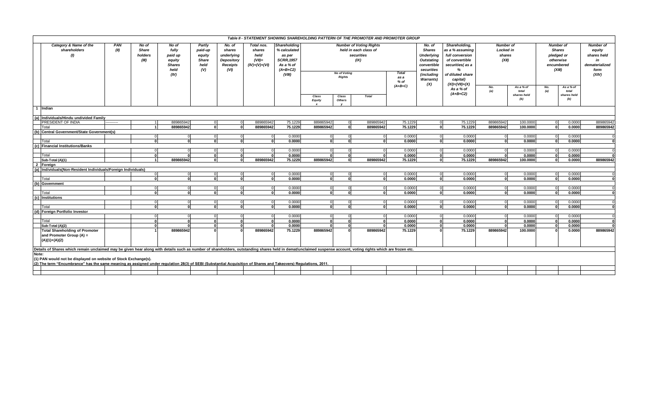|       |                                                                                                                                                                                                                |             |                                           |                                                                      |                                                            |                                                                  |                                                             |                                                                                                  |                                                                                                                       |                 | Table II - STATEMENT SHOWING SHAREHOLDING PATTERN OF THE PROMOTER AND PROMOTER GROUP |                                             |                       |         |                                |                    |              |                                                                                                       |           |  |  |  |  |  |  |                                                                                                                                                                              |                                                                |                    |                                                                                                    |                    |                                                                                    |
|-------|----------------------------------------------------------------------------------------------------------------------------------------------------------------------------------------------------------------|-------------|-------------------------------------------|----------------------------------------------------------------------|------------------------------------------------------------|------------------------------------------------------------------|-------------------------------------------------------------|--------------------------------------------------------------------------------------------------|-----------------------------------------------------------------------------------------------------------------------|-----------------|--------------------------------------------------------------------------------------|---------------------------------------------|-----------------------|---------|--------------------------------|--------------------|--------------|-------------------------------------------------------------------------------------------------------|-----------|--|--|--|--|--|--|------------------------------------------------------------------------------------------------------------------------------------------------------------------------------|----------------------------------------------------------------|--------------------|----------------------------------------------------------------------------------------------------|--------------------|------------------------------------------------------------------------------------|
|       | Category & Name of the<br>shareholders<br>(I)                                                                                                                                                                  | PAN<br>(II) | No of<br><b>Share</b><br>holders<br>(III) | No of<br>fully<br>paid up<br>equity<br><b>Shares</b><br>held<br>(IV) | Partly<br>paid-up<br>equity<br><b>Share</b><br>held<br>(V) | No. of<br>shares<br>underlying<br>Depository<br>Receipts<br>(VI) | Total nos.<br>shares<br>held<br>$(VII)=$<br>$(IV)+(V)+(VI)$ | Shareholding<br>% calculated<br>as per<br><b>SCRR, 1957</b><br>As a % of<br>$(A+B+C2)$<br>(VIII) | <b>Number of Voting Rights</b><br>held in each class of<br>securities<br>(IX)<br><b>No of Voting</b><br><b>Rights</b> |                 |                                                                                      | <b>Total</b><br>as a<br>$%$ of<br>$(A+B+C)$ |                       |         |                                |                    |              | <b>Underlying</b><br><b>Outstating</b><br>convertible<br>securities<br>(including<br><b>Warrants)</b> |           |  |  |  |  |  |  | Shareholding,<br>as a % assuming<br>full conversion<br>of convertible<br>securities(as a<br>%<br>of diluted share<br>capital)<br>$(XI)=(VII)+(X)$<br>As a % of<br>$(A+B+C2)$ | <b>Number of</b><br>Locked in<br>shares<br>(XII)<br>No.<br>(a) | As a % of<br>total | <b>Number of</b><br><b>Shares</b><br>pledged or<br>otherwise<br>encumbered<br>(XIII)<br>No.<br>(a) | As a % of<br>total | <b>Number of</b><br>equity<br>shares held<br>in<br>dematerialized<br>form<br>(XIV) |
|       |                                                                                                                                                                                                                |             |                                           |                                                                      |                                                            |                                                                  |                                                             |                                                                                                  | Class<br><b>Equity</b>                                                                                                | Class<br>Others | <b>Total</b>                                                                         |                                             |                       |         |                                | shares held<br>(b) |              | shares held<br>(b)                                                                                    |           |  |  |  |  |  |  |                                                                                                                                                                              |                                                                |                    |                                                                                                    |                    |                                                                                    |
|       | 1 Indian                                                                                                                                                                                                       |             |                                           |                                                                      |                                                            |                                                                  |                                                             |                                                                                                  |                                                                                                                       |                 |                                                                                      |                                             |                       |         |                                |                    |              |                                                                                                       |           |  |  |  |  |  |  |                                                                                                                                                                              |                                                                |                    |                                                                                                    |                    |                                                                                    |
|       |                                                                                                                                                                                                                |             |                                           |                                                                      |                                                            |                                                                  |                                                             |                                                                                                  |                                                                                                                       |                 |                                                                                      |                                             |                       |         |                                |                    |              |                                                                                                       |           |  |  |  |  |  |  |                                                                                                                                                                              |                                                                |                    |                                                                                                    |                    |                                                                                    |
|       | (a) Individuals/Hindu undivided Family                                                                                                                                                                         |             |                                           |                                                                      |                                                            |                                                                  |                                                             |                                                                                                  |                                                                                                                       |                 |                                                                                      |                                             |                       |         |                                |                    |              |                                                                                                       |           |  |  |  |  |  |  |                                                                                                                                                                              |                                                                |                    |                                                                                                    |                    |                                                                                    |
|       | <b>PRESIDENT OF INDIA</b>                                                                                                                                                                                      |             |                                           | 889865942                                                            | $\Omega$<br>ΩL                                             | $\Omega$                                                         | 889865942                                                   | 75.1229                                                                                          | 889865942                                                                                                             | $\Omega$        | 889865942                                                                            | 75.1229                                     | $\Omega$              | 75.1229 | 889865942                      | 100.0000           |              | 0.0000                                                                                                | 889865942 |  |  |  |  |  |  |                                                                                                                                                                              |                                                                |                    |                                                                                                    |                    |                                                                                    |
|       | Total                                                                                                                                                                                                          |             |                                           | 889865942                                                            |                                                            | $\mathbf{r}$                                                     | 889865942                                                   | 75.1229                                                                                          | 889865942                                                                                                             | $\Omega$        | 889865942                                                                            | 75.1229                                     | $\mathbf{o}$          | 75.1229 | 889865942                      | 100.0000           | $\mathbf{a}$ | 0.0000                                                                                                | 889865942 |  |  |  |  |  |  |                                                                                                                                                                              |                                                                |                    |                                                                                                    |                    |                                                                                    |
|       | (b) Central Government/State Government(s)                                                                                                                                                                     |             | $\Omega$                                  |                                                                      |                                                            |                                                                  |                                                             | 0.0000                                                                                           | $\overline{0}$                                                                                                        |                 | $\Omega$                                                                             | 0.0000                                      |                       | 0.0000  |                                | 0.0000             |              | 0.0000                                                                                                |           |  |  |  |  |  |  |                                                                                                                                                                              |                                                                |                    |                                                                                                    |                    |                                                                                    |
|       | Total                                                                                                                                                                                                          |             |                                           | $\overline{0}$<br>$\Omega$                                           | $\Omega$<br>n.                                             | $\overline{0}$                                                   | $\Omega$<br>$\Omega$                                        |                                                                                                  | 0                                                                                                                     |                 |                                                                                      | 0.0000                                      | $\overline{0}$<br>- O | 0.0000  | $\overline{0}$<br>$\mathbf{0}$ |                    |              | 0.0000                                                                                                |           |  |  |  |  |  |  |                                                                                                                                                                              |                                                                |                    |                                                                                                    |                    |                                                                                    |
|       |                                                                                                                                                                                                                |             |                                           |                                                                      |                                                            |                                                                  |                                                             | 0.0000                                                                                           |                                                                                                                       |                 |                                                                                      |                                             |                       |         |                                | 0.0000             |              |                                                                                                       |           |  |  |  |  |  |  |                                                                                                                                                                              |                                                                |                    |                                                                                                    |                    |                                                                                    |
|       | (c) Financial Institutions/Banks                                                                                                                                                                               |             | $\Omega$                                  | $\Omega$                                                             |                                                            |                                                                  |                                                             | 0.0000                                                                                           |                                                                                                                       |                 |                                                                                      |                                             | $\Omega$              | 0.0000  | $\Omega$                       | 0.0000             |              | 0.0000                                                                                                |           |  |  |  |  |  |  |                                                                                                                                                                              |                                                                |                    |                                                                                                    |                    |                                                                                    |
|       | Total                                                                                                                                                                                                          |             |                                           |                                                                      |                                                            |                                                                  |                                                             | 0.0000                                                                                           |                                                                                                                       |                 |                                                                                      | 0.0000<br>0.0000                            |                       |         | $\Omega$                       |                    |              |                                                                                                       |           |  |  |  |  |  |  |                                                                                                                                                                              |                                                                |                    |                                                                                                    |                    |                                                                                    |
|       | Sub-Total (A)(1)                                                                                                                                                                                               |             |                                           |                                                                      |                                                            |                                                                  | 889865942                                                   |                                                                                                  | 889865942                                                                                                             |                 |                                                                                      |                                             |                       | 0.0000  | 889865942                      | 0.0000             |              | 0.0000                                                                                                |           |  |  |  |  |  |  |                                                                                                                                                                              |                                                                |                    |                                                                                                    |                    |                                                                                    |
|       | 2 Foreign                                                                                                                                                                                                      |             |                                           | 889865942                                                            |                                                            |                                                                  |                                                             | 75.1229                                                                                          |                                                                                                                       |                 | 889865942                                                                            | 75.1229                                     |                       | 75.1229 |                                | 100.0000           |              | 0.0000                                                                                                | 889865942 |  |  |  |  |  |  |                                                                                                                                                                              |                                                                |                    |                                                                                                    |                    |                                                                                    |
|       | (a) Individuals (Non-Resident Individuals/Foreign Individuals)                                                                                                                                                 |             |                                           |                                                                      |                                                            |                                                                  |                                                             |                                                                                                  |                                                                                                                       |                 |                                                                                      |                                             |                       |         |                                |                    |              |                                                                                                       |           |  |  |  |  |  |  |                                                                                                                                                                              |                                                                |                    |                                                                                                    |                    |                                                                                    |
|       |                                                                                                                                                                                                                |             | $\Omega$                                  |                                                                      |                                                            |                                                                  |                                                             | 0.0000                                                                                           | $\Omega$                                                                                                              |                 |                                                                                      | 0.0000                                      | $\Omega$              | 0.0000  | $\mathbf 0$                    | 0.0000             |              | 0.000C                                                                                                |           |  |  |  |  |  |  |                                                                                                                                                                              |                                                                |                    |                                                                                                    |                    |                                                                                    |
|       | Total                                                                                                                                                                                                          |             |                                           |                                                                      |                                                            |                                                                  | $\mathbf{r}$                                                | 0.0000                                                                                           | $\Omega$                                                                                                              |                 |                                                                                      | 0.0000                                      | - 0                   | 0.0000  | $\mathbf{o}$                   | 0.0000             |              | 0.0000                                                                                                |           |  |  |  |  |  |  |                                                                                                                                                                              |                                                                |                    |                                                                                                    |                    |                                                                                    |
|       | (b) Government                                                                                                                                                                                                 |             |                                           |                                                                      |                                                            |                                                                  |                                                             |                                                                                                  |                                                                                                                       |                 |                                                                                      |                                             |                       |         |                                |                    |              |                                                                                                       |           |  |  |  |  |  |  |                                                                                                                                                                              |                                                                |                    |                                                                                                    |                    |                                                                                    |
|       |                                                                                                                                                                                                                |             | $\Omega$                                  |                                                                      |                                                            |                                                                  |                                                             | 0.0000                                                                                           | $\Omega$                                                                                                              |                 |                                                                                      | 0.0000                                      | $\Omega$              | 0.0000  | $\mathbf 0$                    | 0.0000             |              | 0.0000                                                                                                |           |  |  |  |  |  |  |                                                                                                                                                                              |                                                                |                    |                                                                                                    |                    |                                                                                    |
|       | Total                                                                                                                                                                                                          |             |                                           |                                                                      |                                                            |                                                                  |                                                             | 0.0000                                                                                           | $\Omega$                                                                                                              |                 |                                                                                      | 0.0000                                      | $\mathbf{r}$          | 0.0000  | o                              | 0.0000             |              | 0.0000                                                                                                |           |  |  |  |  |  |  |                                                                                                                                                                              |                                                                |                    |                                                                                                    |                    |                                                                                    |
|       | (c) Institutions                                                                                                                                                                                               |             |                                           |                                                                      |                                                            |                                                                  |                                                             |                                                                                                  |                                                                                                                       |                 |                                                                                      |                                             |                       |         |                                |                    |              |                                                                                                       |           |  |  |  |  |  |  |                                                                                                                                                                              |                                                                |                    |                                                                                                    |                    |                                                                                    |
|       |                                                                                                                                                                                                                |             |                                           |                                                                      |                                                            |                                                                  |                                                             | 0.0000                                                                                           |                                                                                                                       |                 |                                                                                      | 0.0000                                      | $\Omega$              | 0.0000  | $\overline{0}$                 | 0.0000             |              | 0.0000                                                                                                |           |  |  |  |  |  |  |                                                                                                                                                                              |                                                                |                    |                                                                                                    |                    |                                                                                    |
|       | Total                                                                                                                                                                                                          |             |                                           |                                                                      |                                                            |                                                                  |                                                             | 0.0000                                                                                           |                                                                                                                       |                 |                                                                                      | 0.0000                                      |                       | 0.0000  | $\Omega$                       | 0.0000             |              | 0.0000                                                                                                |           |  |  |  |  |  |  |                                                                                                                                                                              |                                                                |                    |                                                                                                    |                    |                                                                                    |
|       | (d) Foreign Portfolio Investor                                                                                                                                                                                 |             |                                           |                                                                      |                                                            |                                                                  |                                                             |                                                                                                  |                                                                                                                       |                 |                                                                                      |                                             |                       |         |                                |                    |              |                                                                                                       |           |  |  |  |  |  |  |                                                                                                                                                                              |                                                                |                    |                                                                                                    |                    |                                                                                    |
|       |                                                                                                                                                                                                                |             |                                           |                                                                      |                                                            |                                                                  |                                                             | 0.0000                                                                                           | $\Omega$                                                                                                              |                 |                                                                                      | 0.0000                                      |                       | 0.0000  | $\Omega$                       | 0.0000             |              | 0.0000                                                                                                |           |  |  |  |  |  |  |                                                                                                                                                                              |                                                                |                    |                                                                                                    |                    |                                                                                    |
|       | Total                                                                                                                                                                                                          |             |                                           |                                                                      | n                                                          |                                                                  |                                                             | 0.0000                                                                                           | $\mathbf{a}$                                                                                                          |                 |                                                                                      | 0.0000                                      | -nl                   | 0.0000  | $\mathbf{o}$                   | 0.0000             |              | 0.0000                                                                                                |           |  |  |  |  |  |  |                                                                                                                                                                              |                                                                |                    |                                                                                                    |                    |                                                                                    |
|       | Sub-Total (A)(2)                                                                                                                                                                                               |             |                                           |                                                                      |                                                            |                                                                  |                                                             | 0.0000                                                                                           | $\Omega$                                                                                                              |                 |                                                                                      | 0.0000                                      |                       | 0.0000  | $\Omega$                       | 0.0000             |              | 0.0000                                                                                                |           |  |  |  |  |  |  |                                                                                                                                                                              |                                                                |                    |                                                                                                    |                    |                                                                                    |
|       | <b>Total Shareholding of Promoter</b>                                                                                                                                                                          |             |                                           | 889865942                                                            |                                                            |                                                                  | 889865942                                                   | 75.1229                                                                                          | 889865942                                                                                                             |                 | 889865942                                                                            | 75.1229                                     |                       | 75.1229 | 889865942                      | 100.0000           |              | 0.0000                                                                                                | 889865942 |  |  |  |  |  |  |                                                                                                                                                                              |                                                                |                    |                                                                                                    |                    |                                                                                    |
|       | and Promoter Group (A) =                                                                                                                                                                                       |             |                                           |                                                                      |                                                            |                                                                  |                                                             |                                                                                                  |                                                                                                                       |                 |                                                                                      |                                             |                       |         |                                |                    |              |                                                                                                       |           |  |  |  |  |  |  |                                                                                                                                                                              |                                                                |                    |                                                                                                    |                    |                                                                                    |
|       | $(A)(1)+(A)(2)$                                                                                                                                                                                                |             |                                           |                                                                      |                                                            |                                                                  |                                                             |                                                                                                  |                                                                                                                       |                 |                                                                                      |                                             |                       |         |                                |                    |              |                                                                                                       |           |  |  |  |  |  |  |                                                                                                                                                                              |                                                                |                    |                                                                                                    |                    |                                                                                    |
|       |                                                                                                                                                                                                                |             |                                           |                                                                      |                                                            |                                                                  |                                                             |                                                                                                  |                                                                                                                       |                 |                                                                                      |                                             |                       |         |                                |                    |              |                                                                                                       |           |  |  |  |  |  |  |                                                                                                                                                                              |                                                                |                    |                                                                                                    |                    |                                                                                    |
|       | Details of Shares which remain unclaimed may be given hear along with details such as number of shareholders, outstanding shares held in demat/unclaimed suspense account, voting rights which are frozen etc. |             |                                           |                                                                      |                                                            |                                                                  |                                                             |                                                                                                  |                                                                                                                       |                 |                                                                                      |                                             |                       |         |                                |                    |              |                                                                                                       |           |  |  |  |  |  |  |                                                                                                                                                                              |                                                                |                    |                                                                                                    |                    |                                                                                    |
| Note: |                                                                                                                                                                                                                |             |                                           |                                                                      |                                                            |                                                                  |                                                             |                                                                                                  |                                                                                                                       |                 |                                                                                      |                                             |                       |         |                                |                    |              |                                                                                                       |           |  |  |  |  |  |  |                                                                                                                                                                              |                                                                |                    |                                                                                                    |                    |                                                                                    |
|       | (1) PAN would not be displayed on website of Stock Exchange(s).                                                                                                                                                |             |                                           |                                                                      |                                                            |                                                                  |                                                             |                                                                                                  |                                                                                                                       |                 |                                                                                      |                                             |                       |         |                                |                    |              |                                                                                                       |           |  |  |  |  |  |  |                                                                                                                                                                              |                                                                |                    |                                                                                                    |                    |                                                                                    |
|       | (2) The term "Encumbrance" has the same meaning as assigned under regulation 28(3) of SEBI (Substantial Acquisition of Shares and Takeovers) Regulations, 2011.                                                |             |                                           |                                                                      |                                                            |                                                                  |                                                             |                                                                                                  |                                                                                                                       |                 |                                                                                      |                                             |                       |         |                                |                    |              |                                                                                                       |           |  |  |  |  |  |  |                                                                                                                                                                              |                                                                |                    |                                                                                                    |                    |                                                                                    |
|       |                                                                                                                                                                                                                |             |                                           |                                                                      |                                                            |                                                                  |                                                             |                                                                                                  |                                                                                                                       |                 |                                                                                      |                                             |                       |         |                                |                    |              |                                                                                                       |           |  |  |  |  |  |  |                                                                                                                                                                              |                                                                |                    |                                                                                                    |                    |                                                                                    |
|       |                                                                                                                                                                                                                |             |                                           |                                                                      |                                                            |                                                                  |                                                             |                                                                                                  |                                                                                                                       |                 |                                                                                      |                                             |                       |         |                                |                    |              |                                                                                                       |           |  |  |  |  |  |  |                                                                                                                                                                              |                                                                |                    |                                                                                                    |                    |                                                                                    |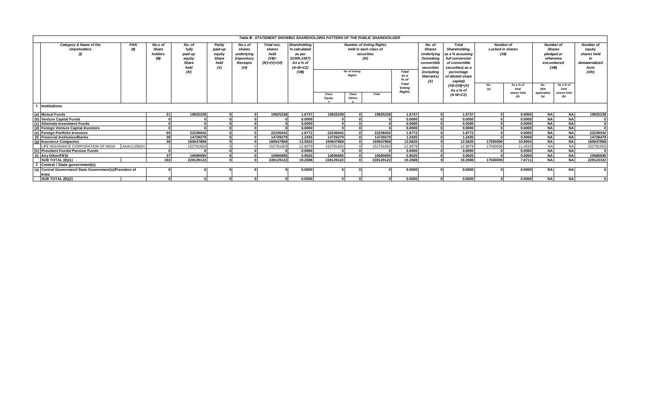|                                                       |                                                          |            |                                             |                                                                      |                                                     |                                                                                 |                                                          |                                                                                                   |                        |                                      | Table III - STATEMENT SHOWING SHAREHOLDING PATTERN OF THE PUBLIC SHAREHOLDER  |                         |                                                                                                                                   |                                                                                                                                            |                                               |                    |                                                                                      |                    |                                                                              |
|-------------------------------------------------------|----------------------------------------------------------|------------|---------------------------------------------|----------------------------------------------------------------------|-----------------------------------------------------|---------------------------------------------------------------------------------|----------------------------------------------------------|---------------------------------------------------------------------------------------------------|------------------------|--------------------------------------|-------------------------------------------------------------------------------|-------------------------|-----------------------------------------------------------------------------------------------------------------------------------|--------------------------------------------------------------------------------------------------------------------------------------------|-----------------------------------------------|--------------------|--------------------------------------------------------------------------------------|--------------------|------------------------------------------------------------------------------|
| PAN<br>Category & Name of the<br>(II)<br>shareholders |                                                          |            | No.s of<br><b>Share</b><br>holders<br>(III) | No. of<br>fully<br>paid up<br>equity<br><b>Share</b><br>held<br>(IV) | Partly<br>paid-up<br>equity<br>Share<br>held<br>(V) | No.s of<br>shares<br>underlying<br><b>Depository</b><br><b>Receipts</b><br>(VI) | Total nos.<br>shares<br>held<br>(VII)<br>$(IV)+(V)+(VI)$ | Shareholding<br>% calculated<br>as per<br><b>SCRR, 1957)</b><br>As a % of<br>$(A+B+C2)$<br>(VIII) |                        | <b>No of Voting</b><br><b>Rights</b> | <b>Number of Voting Rights</b><br>held in each class of<br>securities<br>(IX) | Total<br>as a<br>$%$ of | No. of<br><b>Shares</b><br><b>Underlying</b><br>Outstating<br>convertible<br>securities<br><i>(including</i><br><b>Warrants</b> ) | <b>Total</b><br>Shareholding.<br>as a % assuming<br>full conversion<br>of convertible<br>securities(as a<br>percentage<br>of diluted share | Number of<br><b>Locked in shares</b><br>(XII) |                    | <b>Number of</b><br><b>Shares</b><br>pledged or<br>otherwise<br>encumbered<br>(XIII) |                    | <b>Number of</b><br>equity<br>shares held<br>dematerialized<br>form<br>(XIV) |
|                                                       |                                                          |            |                                             |                                                                      |                                                     |                                                                                 |                                                          |                                                                                                   |                        |                                      |                                                                               |                         | (X)                                                                                                                               | capital)<br>$(XI) = (VII) + (X)$                                                                                                           | No.<br>(a)                                    | As a % of<br>total |                                                                                      | As a % of<br>total |                                                                              |
|                                                       |                                                          |            |                                             |                                                                      |                                                     |                                                                                 |                                                          |                                                                                                   | Class<br><b>Equity</b> | Class<br>Others                      | Total                                                                         | <b>Rights</b>           |                                                                                                                                   | As a % of<br>$(A+B+C2)$                                                                                                                    |                                               | shares held<br>(b) | (Not<br>applicable<br>(a)                                                            | shares held<br>(b) |                                                                              |
|                                                       | <b>Institutions</b>                                      |            |                                             |                                                                      |                                                     |                                                                                 |                                                          |                                                                                                   |                        |                                      |                                                                               |                         |                                                                                                                                   |                                                                                                                                            |                                               |                    |                                                                                      |                    |                                                                              |
|                                                       | (a) Mutual Funds                                         |            | 21 <sup>1</sup>                             | 19825238                                                             |                                                     |                                                                                 | 19825238                                                 | 1.6737                                                                                            | 19825238               |                                      | 19825238                                                                      | 1.6737                  | $\sqrt{2}$                                                                                                                        | 1.6737                                                                                                                                     | $\Omega$                                      | 0.0000             | <b>NA</b>                                                                            | <b>NA</b>          | 19825238                                                                     |
|                                                       | (b) Venture Capital Funds                                |            |                                             |                                                                      |                                                     |                                                                                 |                                                          | 0.0000                                                                                            |                        |                                      |                                                                               | 0.0000                  |                                                                                                                                   | 0.0000                                                                                                                                     |                                               | 0.0000             | <b>NA</b>                                                                            | <b>NA</b>          |                                                                              |
|                                                       | (c) Alternate Investment Funds                           |            |                                             |                                                                      |                                                     |                                                                                 |                                                          | 0.0000                                                                                            |                        |                                      |                                                                               | 0.0000                  |                                                                                                                                   | 0.0000                                                                                                                                     |                                               | 0.0000             | <b>NA</b>                                                                            | <b>NA</b>          |                                                                              |
|                                                       | (d) Foreign Venture Capital Investors                    |            |                                             |                                                                      |                                                     |                                                                                 |                                                          | 0.0000                                                                                            |                        |                                      |                                                                               | 0.0000                  |                                                                                                                                   | 0.0000                                                                                                                                     |                                               | 0.0000             | <b>NA</b>                                                                            | <b>NA</b>          |                                                                              |
|                                                       | (e) Foreian Portfolio Investors                          |            | 60                                          | 22236042                                                             |                                                     |                                                                                 | 22236042                                                 | 1.8772                                                                                            | 22236042               |                                      | 22236042                                                                      | 1.8772                  |                                                                                                                                   | 1.8772                                                                                                                                     |                                               | 0.0000             | <b>NA</b>                                                                            | <b>NA</b>          | 22236042                                                                     |
|                                                       | (f) Financial Institution/Banks                          |            | 38                                          | 14729279                                                             |                                                     |                                                                                 | 14729279                                                 | 1.2435                                                                                            | 14729279               |                                      | 14729279                                                                      | 1.2435                  |                                                                                                                                   | 1.2435                                                                                                                                     |                                               | 0.0000             | <b>NA</b>                                                                            | <b>NA</b>          | 14728479                                                                     |
|                                                       | (g) Insurance Companies                                  |            | 36                                          | 160647868                                                            |                                                     |                                                                                 | 160647868                                                | 13.5620                                                                                           | 160647868              |                                      | 160647868                                                                     | 13.5620                 |                                                                                                                                   | 13.5620                                                                                                                                    | 17500000                                      | 10.8934            | <b>NA</b>                                                                            | <b>NA</b>          | 160647868                                                                    |
|                                                       | LIFE INSURANCE CORPORATION OF INDIA                      | AAACL0582H |                                             | 152781603                                                            |                                                     |                                                                                 | 152781603                                                | 12.8979                                                                                           | 152781603              |                                      | 152781603                                                                     | 12.8979                 |                                                                                                                                   | 12.8979                                                                                                                                    | 17500000                                      | 11.4543            | <b>NA</b>                                                                            | <b>NA</b>          | 152781603                                                                    |
|                                                       | (h) Provident Funds/ Pension Funds                       |            |                                             |                                                                      |                                                     |                                                                                 |                                                          | 0.0000                                                                                            |                        |                                      |                                                                               | 0.0000                  |                                                                                                                                   | 0.0000                                                                                                                                     |                                               | 0.0000             | <b>NA</b>                                                                            | <b>NA</b>          |                                                                              |
|                                                       | (i) Any Other (FII'S)                                    |            | 37                                          | 10690695                                                             |                                                     |                                                                                 | 10690695                                                 | 0.9025                                                                                            | 10690695               |                                      | 10690695                                                                      | 0.9025                  |                                                                                                                                   | 0.9025                                                                                                                                     |                                               | 0.0000             | <b>NA</b>                                                                            | <b>NA</b>          | 10685695                                                                     |
|                                                       | SUB TOTAL (B)(1)                                         |            | 192                                         | 228129122                                                            |                                                     |                                                                                 | 228129122                                                | 19.2588                                                                                           | 228129122              |                                      | 228129122                                                                     | 19.2588                 |                                                                                                                                   | 19.2588                                                                                                                                    | 17500000                                      | 7.6711             | <b>NA</b>                                                                            | <b>NA</b>          | 228123322                                                                    |
|                                                       | Central / State government(s)                            |            |                                             |                                                                      |                                                     |                                                                                 |                                                          |                                                                                                   |                        |                                      |                                                                               |                         |                                                                                                                                   |                                                                                                                                            |                                               |                    |                                                                                      |                    |                                                                              |
|                                                       | (a) Central Government/ State Government(s)/President of |            |                                             |                                                                      |                                                     |                                                                                 |                                                          | 0.0000                                                                                            |                        |                                      |                                                                               | 0.0000                  |                                                                                                                                   | 0.0000                                                                                                                                     |                                               | 0.0000             | <b>NA</b>                                                                            | ΝA                 |                                                                              |
|                                                       | India                                                    |            |                                             |                                                                      |                                                     |                                                                                 |                                                          |                                                                                                   |                        |                                      |                                                                               |                         |                                                                                                                                   |                                                                                                                                            |                                               |                    |                                                                                      |                    |                                                                              |
|                                                       | SUB TOTAL (B)(2)                                         |            |                                             |                                                                      |                                                     |                                                                                 |                                                          | 0.0000                                                                                            |                        |                                      |                                                                               | 0.0000                  |                                                                                                                                   | 0.0000                                                                                                                                     |                                               | 0.0000             | <b>NA</b>                                                                            | <b>NA</b>          |                                                                              |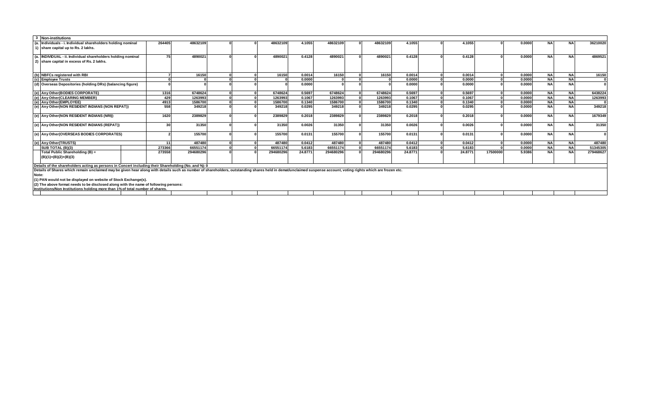| 3 Non-institutions                                                                                                                                                                                             |        |           |  |           |         |           |           |         |         |          |        |           |           |           |
|----------------------------------------------------------------------------------------------------------------------------------------------------------------------------------------------------------------|--------|-----------|--|-----------|---------|-----------|-----------|---------|---------|----------|--------|-----------|-----------|-----------|
| (a. Individuals - i. Individual shareholders holding nominal                                                                                                                                                   | 264405 | 48632109  |  | 4863210   | 4.1055  | 48632109  | 48632109  | 4.1055  | 4.1055  |          | 0.0000 | <b>NA</b> | <b>NA</b> | 36210020  |
| 1) share capital up to Rs. 2 lakhs.                                                                                                                                                                            |        |           |  |           |         |           |           |         |         |          |        |           |           |           |
| (a.  INDIVIDUAL - ii. Individual shareholders holding nominal                                                                                                                                                  | 75     | 4890021   |  | 4890021   | 0.4128  | 4890021   | 4890021   | 0.4128  | 0.4128  |          | 0.0000 | <b>NA</b> | <b>NA</b> | 4869521   |
| 2) share capital in excess of Rs. 2 lakhs.                                                                                                                                                                     |        |           |  |           |         |           |           |         |         |          |        |           |           |           |
| (b) NBFCs registered with RBI                                                                                                                                                                                  |        | 16150     |  | 16150     | 0.0014  | 16150     | 16150     | 0.0014  | 0.0014  |          | 0.0000 | <b>NA</b> | <b>NA</b> | 16150     |
| (c) Employee Trusts                                                                                                                                                                                            |        |           |  |           | 0.0000  |           |           | 0.0000  | 0.0000  |          | 0.0000 | <b>NA</b> | <b>NA</b> |           |
| (d) Overseas Depositories (holding DRs) (balancing figure)                                                                                                                                                     |        |           |  |           | 0.0000  |           |           | 0.0000  | 0.0000  |          | 0.0000 | <b>NA</b> | <b>NA</b> |           |
| (e) Any Other (BODIES CORPORATE)                                                                                                                                                                               | 1316   | 6748624   |  | 6748624   | 0.5697  | 6748624   | 6748624   | 0.5697  | 0.5697  |          | 0.0000 | <b>NA</b> | <b>NA</b> | 6438224   |
| (e) Any Other (CLEARING MEMBER)                                                                                                                                                                                | 429    | 1263993   |  | 1263993   | 0.1067  | 1263993   | 1263993   | 0.1067  | 0.1067  |          | 0.0000 | <b>NA</b> | <b>NA</b> | 1263993   |
| (e) Any Other (EMPLOYEE)                                                                                                                                                                                       | 4913   | 1586700   |  | 1586700   | 0.1340  | 1586700   | 1586700   | 0.1340  | 0.1340  |          | 0.0000 | <b>NA</b> | <b>NA</b> |           |
| (e) Any Other (NON RESIDENT INDIANS (NON REPAT))                                                                                                                                                               | 558    | 349218    |  | 349218    | 0.0295  | 349218    | 349218    | 0.0295  | 0.0295  |          | 0.0000 | <b>NA</b> | <b>NA</b> | 349218    |
| (e) Any Other(NON RESIDENT INDIANS (NRI))                                                                                                                                                                      | 1620   | 2389829   |  | 2389829   | 0.2018  | 2389829   | 2389829   | 0.2018  | 0.2018  |          | 0.0000 | <b>NA</b> | <b>NA</b> | 1679349   |
| (e) Any Other (NON RESIDENT INDIANS (REPAT))                                                                                                                                                                   | 30     | 31350     |  | 31350     | 0.0026  | 31350     | 31350     | 0.0026  | 0.0026  |          | 0.0000 | <b>NA</b> | <b>NA</b> | 31350     |
| (e) Any Other (OVERSEAS BODIES CORPORATES)                                                                                                                                                                     |        | 155700    |  | 155700    | 0.0131  | 155700    | 155700    | 0.0131  | 0.0131  |          | 0.0000 | <b>NA</b> | <b>NA</b> | $\Omega$  |
| (e) Any Other (TRUSTS)                                                                                                                                                                                         |        | 487480    |  | 487480    | 0.0412  | 487480    | 487480    | 0.0412  | 0.0412  |          | 0.0000 | <b>NA</b> | <b>NA</b> | 487480    |
| SUB TOTAL (B)(3)                                                                                                                                                                                               | 273366 | 66551174  |  | 66551174  | 5.6183  | 66551174  | 66551174  | 5.6183  | 5.6183  |          | 0.0000 | <b>NA</b> | <b>NA</b> | 51345305  |
| Total Public Shareholding (B) =<br>$(B)(1)+(B)(2)+(B)(3)$                                                                                                                                                      | 273558 | 294680296 |  | 294680296 | 24.8771 | 294680296 | 294680296 | 24.8771 | 24.8771 | 17500000 | 5.9386 | <b>NA</b> | <b>NA</b> | 279468627 |
| Details of the shareholders acting as persons in Concert including their Shareholding (No. and %): 0                                                                                                           |        |           |  |           |         |           |           |         |         |          |        |           |           |           |
| Details of Shares which remain unclaimed may be given hear along with details such as number of shareholders, outstanding shares held in demat/unclaimed suspense account, voting rights which are frozen etc. |        |           |  |           |         |           |           |         |         |          |        |           |           |           |
| Note:                                                                                                                                                                                                          |        |           |  |           |         |           |           |         |         |          |        |           |           |           |
| (1) PAN would not be displayed on website of Stock Exchange(s).                                                                                                                                                |        |           |  |           |         |           |           |         |         |          |        |           |           |           |
| (2) The above format needs to be disclosed along with the name of following persons:                                                                                                                           |        |           |  |           |         |           |           |         |         |          |        |           |           |           |
| Institutions/Non Institutions holding more than 1% of total number of shares.                                                                                                                                  |        |           |  |           |         |           |           |         |         |          |        |           |           |           |
|                                                                                                                                                                                                                |        |           |  |           |         |           |           |         |         |          |        |           |           |           |